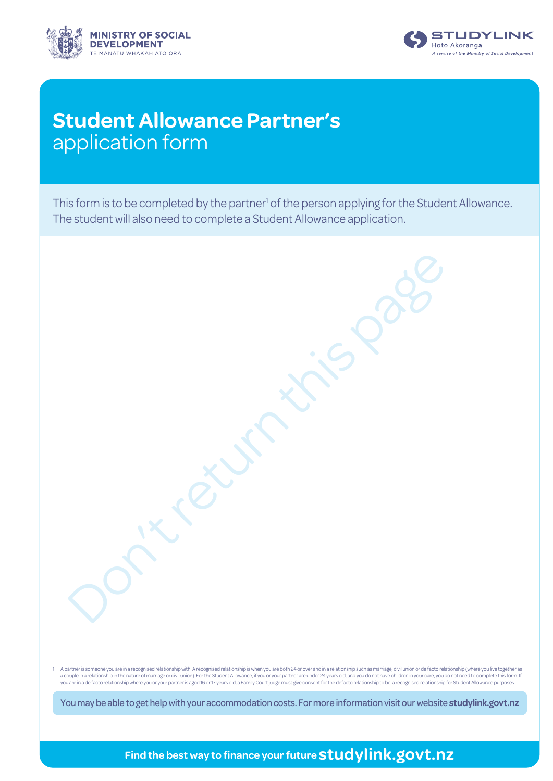



# **Student Allowance Partner's** application form

This form is to be completed by the partner<sup>1</sup> of the person applying for the Student Allowance. The student will also need to complete a Student Allowance application.

Don't return this page

1 A partner is someone you are in a recognised relationship with. A recognised relationship is when you are both 24 or over and in a relationship such as marriage, civil union or de facto relationship (where you live toget you are in a de facto relationship where you or your partner is aged 16 or 17 years old, a Family Court judge must give consent for the defacto relationship to be a recognised relationship for Student Allowance purposes.

You may be able to get help with your accommodation costs. For more information visit our website **[studylink.govt.nz](http://www.studylink.govt.nz)**

**Find the best way to finance your future studylink.govt.nz**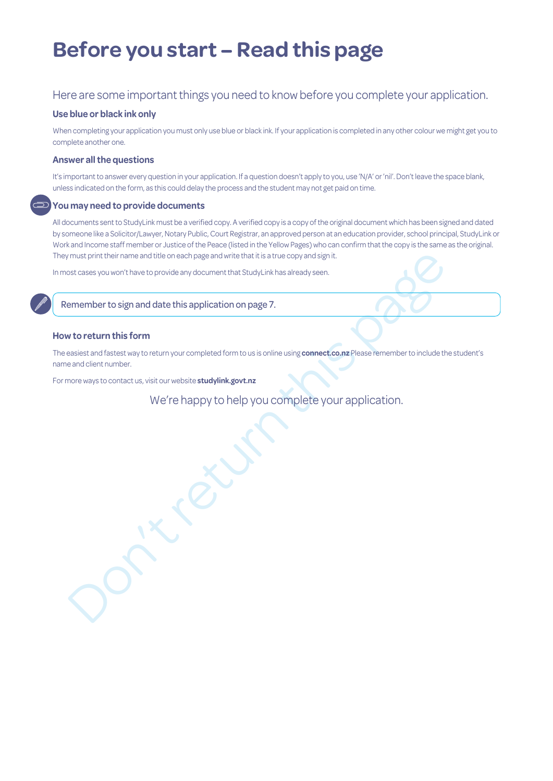# **Before you start – Read this page**

### Here are some important things you need to know before you complete your application.

#### **Use blue or black ink only**

When completing your application you must only use blue or black ink. If your application is completed in any other colour we might get you to complete another one.

#### **Answer all the questions**

It's important to answer every question in your application. If a question doesn't apply to you, use 'N/A' or 'nil'. Don't leave the space blank, unless indicated on the form, as this could delay the process and the student may not get paid on time.

#### **You may need to provide documents**

All documents sent to StudyLink must be a verified copy. A verified copy is a copy of the original document which has been signed and dated by someone like a Solicitor/Lawyer, Notary Public, Court Registrar, an approved person at an education provider, school principal, StudyLink or Work and Income staff member or Justice of the Peace (listed in the Yellow Pages) who can confirm that the copy is the same as the original. They must print their name and title on each page and write that it is a true copy and sign it.

In most cases you won't have to provide any document that StudyLink has already seen.

Remember to sign and date this application on page 7.

### **How to return this form**

must print their rame and title onesch page and wite that it is a true copy and sign it.<br>
St cases you won't have to provide any document that Study Link has already seen,<br> **emember to sign and date this application on pag** The easiest and fastest way to return your completed form to us is online using **connect.co.nz** Please remember to include the student's name and client number.

For more ways to contact us, visit our website **studylink.govt.nz**

We're happy to help you complete your application.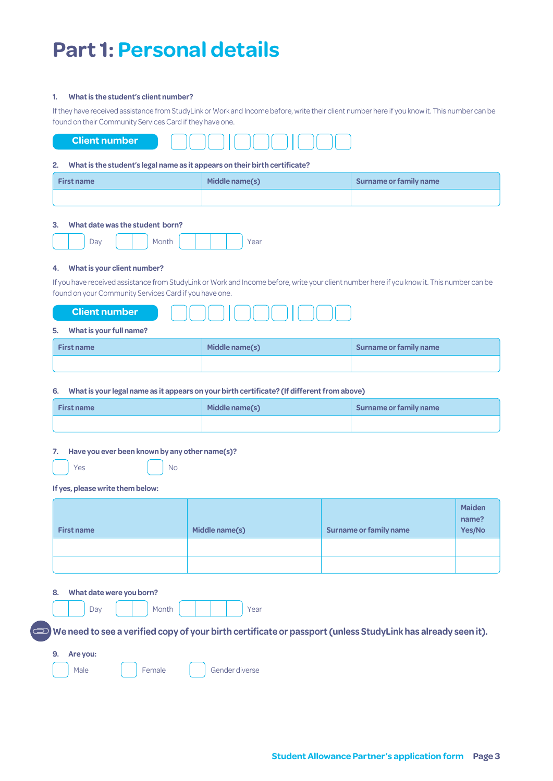# **Part 1: Personal details**

#### **1. What is the student's client number?**

If they have received assistance from StudyLink or Work and Income before, write their client number here if you know it. This number can be found on their Community Services Card if they have one.



#### **2. What is the student's legal name as it appears on their birth certificate?**

| <b>First name</b> | Middle name(s) | Surname or family name |
|-------------------|----------------|------------------------|
|                   |                |                        |

#### **3. What date was the student born?**

|--|--|--|--|--|--|

### **4. What is your client number?**

If you have received assistance from StudyLink or Work and Income before, write your client number here if you know it. This number can be found on your Community Services Card if you have one.

| $-12$<br>7number<br>$\blacksquare$ ulen $\blacksquare$ |  |
|--------------------------------------------------------|--|
|                                                        |  |

#### **5. What is your full name?**

| <b>First name</b> | Middle name(s) | Surname or family name |
|-------------------|----------------|------------------------|
|                   |                |                        |

#### **6. What is your legal name as it appears on your birth certificate? (If different from above)**

| <b>First name</b> | Middle name(s) | Surname or family name |
|-------------------|----------------|------------------------|
|                   |                |                        |

#### **7. Have you ever been known by any other name(s)?**

No.

| Yes |  |  |
|-----|--|--|
|     |  |  |

#### **If yes, please write them below:**

| <b>First name</b> | Middle name(s) | Surname or family name | <b>Maiden</b><br>name?<br>Yes/No |
|-------------------|----------------|------------------------|----------------------------------|
|                   |                |                        |                                  |
|                   |                |                        |                                  |

#### **8. What date were you born?**

|  | Day |  | Month |  |  | Year |
|--|-----|--|-------|--|--|------|
|  |     |  |       |  |  |      |

**We need to see a verified copy of your birth certificate or passport (unless StudyLink has already seen it).**

| 9. | Are you: |  |        |  |                |  |  |  |
|----|----------|--|--------|--|----------------|--|--|--|
|    | Male     |  | Female |  | Gender diverse |  |  |  |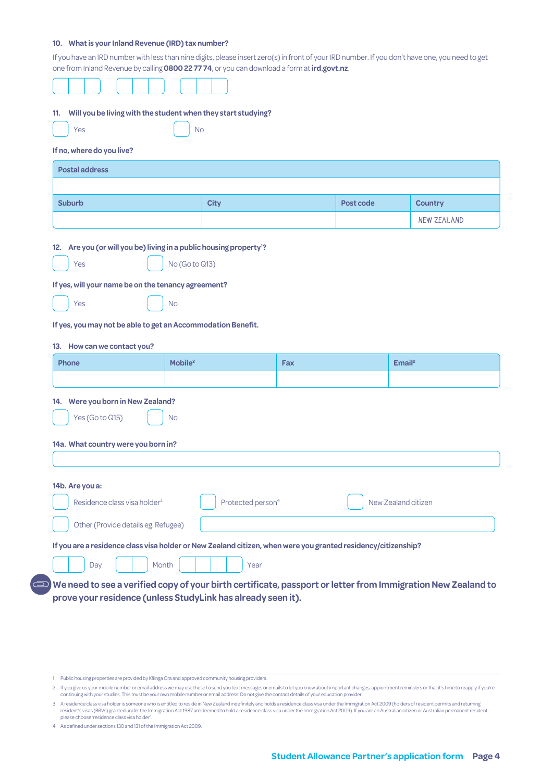#### **10. What is your Inland Revenue (IRD) tax number?**

If you have an IRD number with less than nine digits, please insert zero(s) in front of your IRD number. If you don't have one, you need to get one from Inland Revenue by calling **0800 22 77 74**, or you can download a form at**[ird.govt.nz](http://www.ird.govt.nz)**.

| Will you be living with the student when they start studying?<br>11.                                          |                     |                               |     |           |                     |
|---------------------------------------------------------------------------------------------------------------|---------------------|-------------------------------|-----|-----------|---------------------|
| Yes                                                                                                           | <b>No</b>           |                               |     |           |                     |
| If no, where do you live?                                                                                     |                     |                               |     |           |                     |
| <b>Postal address</b>                                                                                         |                     |                               |     |           |                     |
|                                                                                                               |                     |                               |     |           |                     |
| <b>Suburb</b>                                                                                                 |                     | <b>City</b>                   |     | Post code | <b>Country</b>      |
|                                                                                                               |                     |                               |     |           | <b>NEW ZEALAND</b>  |
| 12. Are you (or will you be) living in a public housing property <sup>1</sup> ?                               |                     |                               |     |           |                     |
| Yes                                                                                                           | No (Go to Q13)      |                               |     |           |                     |
| If yes, will your name be on the tenancy agreement?                                                           |                     |                               |     |           |                     |
| Yes                                                                                                           | <b>No</b>           |                               |     |           |                     |
| If yes, you may not be able to get an Accommodation Benefit.                                                  |                     |                               |     |           |                     |
| 13. How can we contact you?                                                                                   |                     |                               |     |           |                     |
| Phone                                                                                                         | Mobile <sup>2</sup> |                               | Fax |           | Email <sup>2</sup>  |
|                                                                                                               |                     |                               |     |           |                     |
| 14. Were you born in New Zealand?                                                                             |                     |                               |     |           |                     |
| Yes (Go to Q15)                                                                                               | <b>No</b>           |                               |     |           |                     |
| 14a. What country were you born in?                                                                           |                     |                               |     |           |                     |
|                                                                                                               |                     |                               |     |           |                     |
|                                                                                                               |                     |                               |     |           |                     |
|                                                                                                               |                     |                               |     |           |                     |
|                                                                                                               |                     | Protected person <sup>4</sup> |     |           | New Zealand citizen |
| 14b. Are you a:<br>Residence class visa holder <sup>3</sup>                                                   |                     |                               |     |           |                     |
| Other (Provide details eg. Refugee)                                                                           |                     |                               |     |           |                     |
| If you are a residence class visa holder or New Zealand citizen, when were you granted residency/citizenship? |                     |                               |     |           |                     |

2 If you give us your mobile number or email address we may use these to send you text messages or emails to let you know about important changes, appointment reminders or that it's time to reapply if you're continuing with your studies. This must be your own mobile number or email address. Do not give the contact details of your education provider.

3 A residence class visa holder is someone who is entitled to reside in New Zealand indefinitely and holds a residence class visa under the Immigration Act 2009 (holders of resident permits and returning<br>resident's visas ( please choose 'residence class visa holder'.

4 As defined under sections 130 and 131 of the Immigration Act 2009.

<sup>1</sup> Public housing properties are provided by Kāinga Ora and approved community housing providers.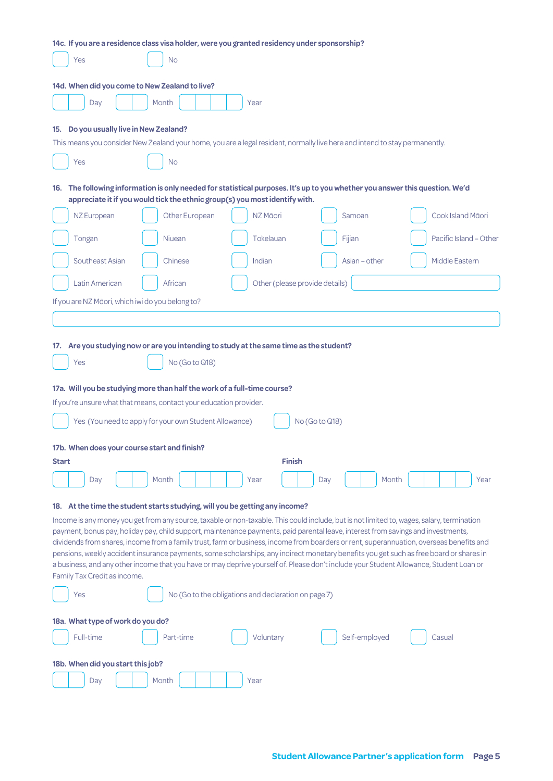|                                                                                                                            | 14c. If you are a residence class visa holder, were you granted residency under sponsorship?                                                                                                                                   |                                                                   |                |                                                                                                                                                                                                                                                                                                                                                                                                                                                                                                                                                                                        |
|----------------------------------------------------------------------------------------------------------------------------|--------------------------------------------------------------------------------------------------------------------------------------------------------------------------------------------------------------------------------|-------------------------------------------------------------------|----------------|----------------------------------------------------------------------------------------------------------------------------------------------------------------------------------------------------------------------------------------------------------------------------------------------------------------------------------------------------------------------------------------------------------------------------------------------------------------------------------------------------------------------------------------------------------------------------------------|
| Yes                                                                                                                        | No                                                                                                                                                                                                                             |                                                                   |                |                                                                                                                                                                                                                                                                                                                                                                                                                                                                                                                                                                                        |
| 14d. When did you come to New Zealand to live?                                                                             |                                                                                                                                                                                                                                |                                                                   |                |                                                                                                                                                                                                                                                                                                                                                                                                                                                                                                                                                                                        |
| Day                                                                                                                        | Month                                                                                                                                                                                                                          | Year                                                              |                |                                                                                                                                                                                                                                                                                                                                                                                                                                                                                                                                                                                        |
| Do you usually live in New Zealand?<br>15.                                                                                 | This means you consider New Zealand your home, you are a legal resident, normally live here and intend to stay permanently.                                                                                                    |                                                                   |                |                                                                                                                                                                                                                                                                                                                                                                                                                                                                                                                                                                                        |
|                                                                                                                            |                                                                                                                                                                                                                                |                                                                   |                |                                                                                                                                                                                                                                                                                                                                                                                                                                                                                                                                                                                        |
| Yes                                                                                                                        | <b>No</b><br>16. The following information is only needed for statistical purposes. It's up to you whether you answer this question. We'd                                                                                      |                                                                   |                |                                                                                                                                                                                                                                                                                                                                                                                                                                                                                                                                                                                        |
|                                                                                                                            | appreciate it if you would tick the ethnic group(s) you most identify with.                                                                                                                                                    |                                                                   |                |                                                                                                                                                                                                                                                                                                                                                                                                                                                                                                                                                                                        |
| NZ European                                                                                                                | Other European                                                                                                                                                                                                                 | NZ Māori                                                          | Samoan         | Cook Island Māori                                                                                                                                                                                                                                                                                                                                                                                                                                                                                                                                                                      |
| Tongan                                                                                                                     | Niuean                                                                                                                                                                                                                         | Tokelauan                                                         | Fijian         | Pacific Island - Other                                                                                                                                                                                                                                                                                                                                                                                                                                                                                                                                                                 |
| Southeast Asian                                                                                                            | Chinese                                                                                                                                                                                                                        | Indian                                                            | Asian - other  | Middle Eastern                                                                                                                                                                                                                                                                                                                                                                                                                                                                                                                                                                         |
| Latin American                                                                                                             | African                                                                                                                                                                                                                        | Other (please provide details)                                    |                |                                                                                                                                                                                                                                                                                                                                                                                                                                                                                                                                                                                        |
| If you are NZ Māori, which iwi do you belong to?                                                                           |                                                                                                                                                                                                                                |                                                                   |                |                                                                                                                                                                                                                                                                                                                                                                                                                                                                                                                                                                                        |
|                                                                                                                            |                                                                                                                                                                                                                                |                                                                   |                |                                                                                                                                                                                                                                                                                                                                                                                                                                                                                                                                                                                        |
| Yes<br>17b. When does your course start and finish?<br><b>Start</b>                                                        | No (Go to Q18)<br>17a. Will you be studying more than half the work of a full-time course?<br>If you're unsure what that means, contact your education provider.<br>Yes (You need to apply for your own Student Allowance)     | <b>Finish</b>                                                     | No (Go to Q18) |                                                                                                                                                                                                                                                                                                                                                                                                                                                                                                                                                                                        |
| Day                                                                                                                        | Month                                                                                                                                                                                                                          | Year                                                              | Day            | Month<br>Year                                                                                                                                                                                                                                                                                                                                                                                                                                                                                                                                                                          |
| Family Tax Credit as income.<br>Yes<br>18a. What type of work do you do?<br>Full-time<br>18b. When did you start this job? | 18. At the time the student starts studying, will you be getting any income?<br>payment, bonus pay, holiday pay, child support, maintenance payments, paid parental leave, interest from savings and investments,<br>Part-time | No (Go to the obligations and declaration on page 7)<br>Voluntary | Self-employed  | Income is any money you get from any source, taxable or non-taxable. This could include, but is not limited to, wages, salary, termination<br>dividends from shares, income from a family trust, farm or business, income from boarders or rent, superannuation, overseas benefits and<br>pensions, weekly accident insurance payments, some scholarships, any indirect monetary benefits you get such as free board or shares in<br>a business, and any other income that you have or may deprive yourself of. Please don't include your Student Allowance, Student Loan or<br>Casual |
| Day                                                                                                                        | Month                                                                                                                                                                                                                          | Year                                                              |                |                                                                                                                                                                                                                                                                                                                                                                                                                                                                                                                                                                                        |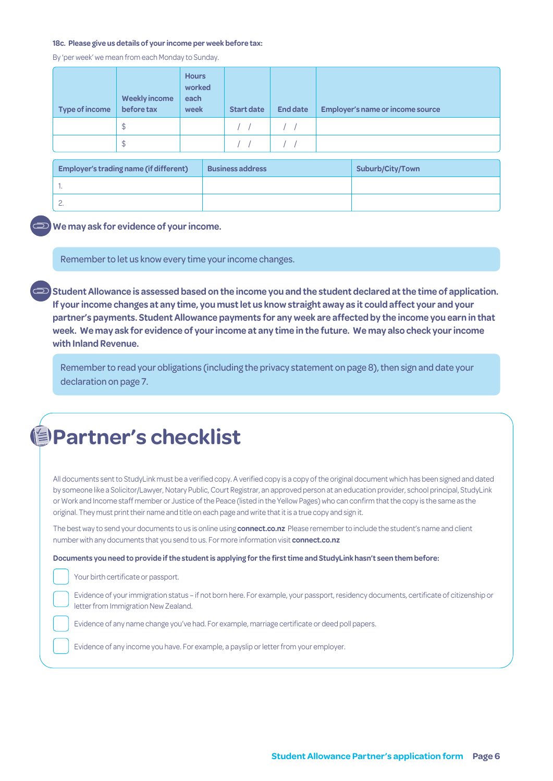#### **18c. Please give us details of your income per week before tax:**

By 'per week' we mean from each Monday to Sunday.

| <b>Type of income</b> | <b>Weekly income</b><br>before tax | <b>Hours</b><br>worked<br>each<br>week | <b>Start date</b> | <b>End date</b> | <b>Employer's name or income source</b> |
|-----------------------|------------------------------------|----------------------------------------|-------------------|-----------------|-----------------------------------------|
|                       | \$                                 |                                        |                   |                 |                                         |
|                       | ⊅                                  |                                        |                   |                 |                                         |

| <b>Employer's trading name (if different)</b> | <b>Business address</b> | <b>Suburb/City/Town</b> |  |  |  |
|-----------------------------------------------|-------------------------|-------------------------|--|--|--|
|                                               |                         |                         |  |  |  |
| <u>.</u>                                      |                         |                         |  |  |  |

**We may ask for evidence of your income.** 

Remember to let us know every time your income changes.

**Student Allowance is assessed based on the income you and the student declared at the time of application. If your income changes at any time, you must let us know straight away as it could affect your and your partner's payments. Student Allowance payments for any week are affected by the income you earn in that week. We may ask for evidence of your income at any time in the future. We may also check your income with Inland Revenue.**

Remember to read your obligations (including the privacy statement on page 8), then sign and date your declaration on page 7.

All documents sent to StudyLink must be a verified copy. A verified copy is a copy of the original document which has been signed and dated by someone like a Solicitor/Lawyer, Notary Public, Court Registrar, an approved person at an education provider, school principal, StudyLink or Work and Income staff member or Justice of the Peace (listed in the Yellow Pages) who can confirm that the copy is the same as the original. They must print their name and title on each page and write that it is a true copy and sign it.

The best way to send your documents to us is online using **connect.co.nz** Please remember to include the student's name and client number with any documents that you send to us. For more information visit **connect.co.nz**

**Documents you need to provide if the student is applying for the first time and StudyLink hasn't seen them before:**

Your birth certificate or passport.

Evidence of your immigration status – if not born here. For example, your passport, residency documents, certificate of citizenship or letter from Immigration New Zealand.

Evidence of any name change you've had. For example, marriage certificate or deed poll papers.

Evidence of any income you have. For example, a payslip or letter from your employer.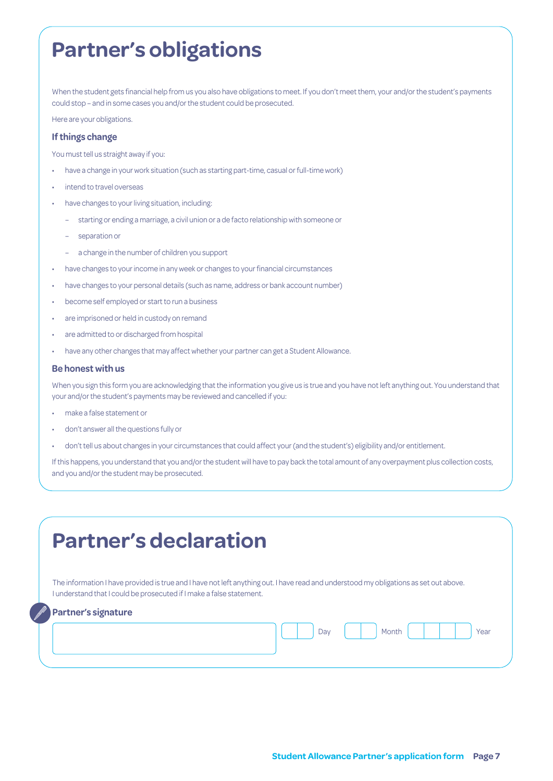# **Partner's obligations**

When the student gets financial help from us you also have obligations to meet. If you don't meet them, your and/or the student's payments could stop – and in some cases you and/or the student could be prosecuted.

Here are your obligations.

#### **If things change**

You must tell us straight away if you:

- have a change in your work situation (such as starting part-time, casual or full-time work)
- intend to travel overseas
- have changes to your living situation, including:
	- starting or ending a marriage, a civil union or a de facto relationship with someone or
	- separation or
	- a change in the number of children you support
- have changes to your income in any week or changes to your financial circumstances
- have changes to your personal details (such as name, address or bank account number)
- become self employed or start to run a business
- are imprisoned or held in custody on remand
- are admitted to or discharged from hospital
- have any other changes that may affect whether your partner can get a Student Allowance.

#### **Be honest with us**

When you sign this form you are acknowledging that the information you give us is true and you have not left anything out. You understand that your and/or the student's payments may be reviewed and cancelled if you:

- make a false statement or
- don't answer all the questions fully or
- don't tell us about changes in your circumstances that could affect your (and the student's) eligibility and/or entitlement.

If this happens, you understand that you and/or the student will have to pay back the total amount of any overpayment plus collection costs, and you and/or the student may be prosecuted.

| The information I have provided is true and I have not left anything out. I have read and understood my obligations as set out above. |  |     |       |      |
|---------------------------------------------------------------------------------------------------------------------------------------|--|-----|-------|------|
| I understand that I could be prosecuted if I make a false statement.                                                                  |  |     |       |      |
| <b>Partner's signature</b>                                                                                                            |  |     |       |      |
|                                                                                                                                       |  | Day | Month | Year |
|                                                                                                                                       |  |     |       |      |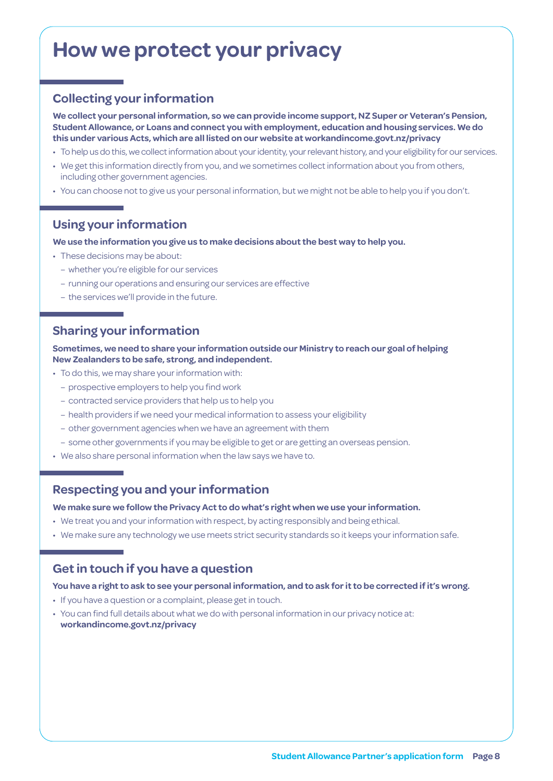# **How we protect your privacy**

### **Collecting your information**

**We collect your personal information, so we can provide income support, NZ Super or Veteran's Pension, Student Allowance, or Loans and connect you with employment, education and housing services. We do this under various Acts, which are all listed on our website at [workandincome.govt.nz/p](http://www.workandincome.govt.nz/about-work-and-income/privacy-notice/index.html)rivacy**

- To help us do this, we collect information about your identity, your relevant history, and your eligibility for our services.
- We get this information directly from you, and we sometimes collect information about you from others, including other government agencies.
- You can choose not to give us your personal information, but we might not be able to help you if you don't.

### **Using your information**

#### **We use the information you give us to make decisions about the best way to help you.**

- These decisions may be about:
	- whether you're eligible for our services
	- running our operations and ensuring our services are effective
	- the services we'll provide in the future.

### **Sharing your information**

**Sometimes, we need to share your information outside our Ministry to reach our goal of helping New Zealanders to be safe, strong, and independent.**

- To do this, we may share your information with:
	- prospective employers to help you find work
	- contracted service providers that help us to help you
	- health providers if we need your medical information to assess your eligibility
	- other government agencies when we have an agreement with them
	- some other governments if you may be eligible to get or are getting an overseas pension.
- We also share personal information when the law says we have to.

### **Respecting you and your information**

**We make sure we follow the Privacy Act to do what's right when we use your information.**

- We treat you and your information with respect, by acting responsibly and being ethical.
- We make sure any technology we use meets strict security standards so it keeps your information safe.

### **Get in touch if you have a question**

### **You have a right to ask to see your personal information, and to ask for it to be corrected if it's wrong.**

- If you have a question or a complaint, please get in touch.
- You can find full details about what we do with personal information in our privacy notice at: **[workandincome.govt.nz/p](http://www.workandincome.govt.nz/about-work-and-income/privacy-notice/index.html)rivacy**